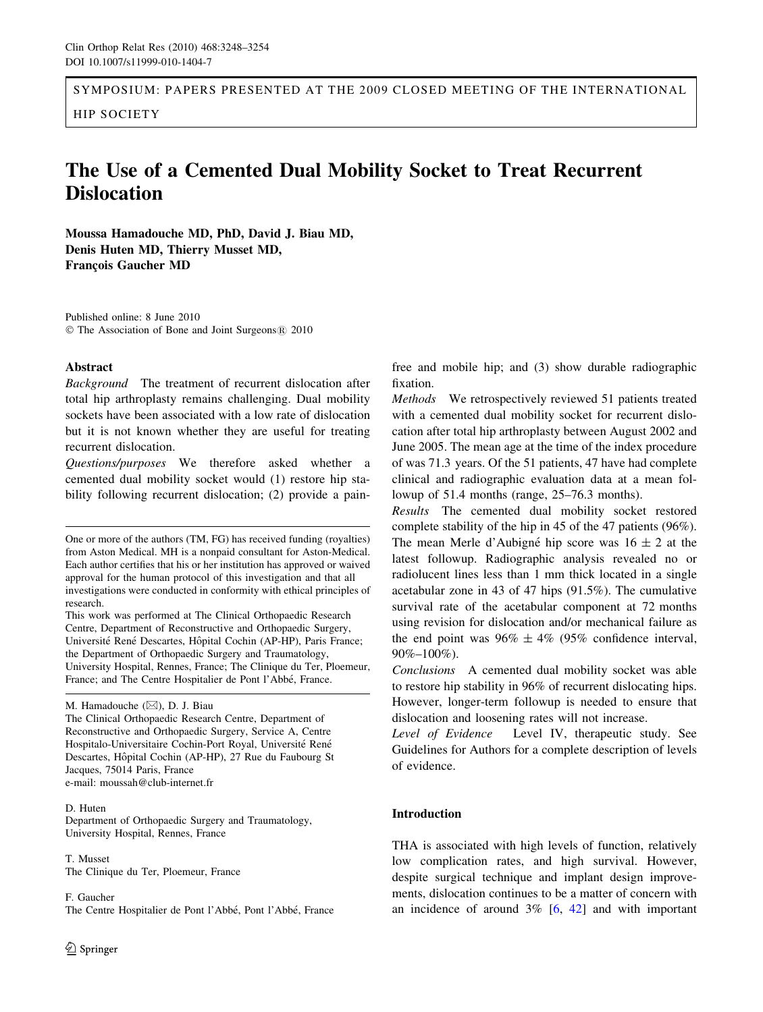SYMPOSIUM: PAPERS PRESENTED AT THE 2009 CLOSED MEETING OF THE INTERNATIONAL HIP SOCIETY

# The Use of a Cemented Dual Mobility Socket to Treat Recurrent **Dislocation**

Moussa Hamadouche MD, PhD, David J. Biau MD, Denis Huten MD, Thierry Musset MD, François Gaucher MD

Published online: 8 June 2010 © The Association of Bone and Joint Surgeons® 2010

### Abstract

Background The treatment of recurrent dislocation after total hip arthroplasty remains challenging. Dual mobility sockets have been associated with a low rate of dislocation but it is not known whether they are useful for treating recurrent dislocation.

Questions/purposes We therefore asked whether a cemented dual mobility socket would (1) restore hip stability following recurrent dislocation; (2) provide a pain-

One or more of the authors (TM, FG) has received funding (royalties) from Aston Medical. MH is a nonpaid consultant for Aston-Medical. Each author certifies that his or her institution has approved or waived approval for the human protocol of this investigation and that all investigations were conducted in conformity with ethical principles of research.

This work was performed at The Clinical Orthopaedic Research Centre, Department of Reconstructive and Orthopaedic Surgery, Université René Descartes, Hôpital Cochin (AP-HP), Paris France; the Department of Orthopaedic Surgery and Traumatology, University Hospital, Rennes, France; The Clinique du Ter, Ploemeur, France; and The Centre Hospitalier de Pont l'Abbé, France.

The Clinical Orthopaedic Research Centre, Department of Reconstructive and Orthopaedic Surgery, Service A, Centre Hospitalo-Universitaire Cochin-Port Royal, Université René Descartes, Hôpital Cochin (AP-HP), 27 Rue du Faubourg St Jacques, 75014 Paris, France e-mail: moussah@club-internet.fr

#### D. Huten

Department of Orthopaedic Surgery and Traumatology, University Hospital, Rennes, France

T. Musset The Clinique du Ter, Ploemeur, France

F. Gaucher The Centre Hospitalier de Pont l'Abbé, Pont l'Abbé, France

free and mobile hip; and (3) show durable radiographic fixation.

Methods We retrospectively reviewed 51 patients treated with a cemented dual mobility socket for recurrent dislocation after total hip arthroplasty between August 2002 and June 2005. The mean age at the time of the index procedure of was 71.3 years. Of the 51 patients, 47 have had complete clinical and radiographic evaluation data at a mean followup of 51.4 months (range, 25–76.3 months).

Results The cemented dual mobility socket restored complete stability of the hip in 45 of the 47 patients (96%). The mean Merle d'Aubigné hip score was  $16 \pm 2$  at the latest followup. Radiographic analysis revealed no or radiolucent lines less than 1 mm thick located in a single acetabular zone in 43 of 47 hips (91.5%). The cumulative survival rate of the acetabular component at 72 months using revision for dislocation and/or mechanical failure as the end point was  $96\% \pm 4\%$  (95% confidence interval, 90%–100%).

Conclusions A cemented dual mobility socket was able to restore hip stability in 96% of recurrent dislocating hips. However, longer-term followup is needed to ensure that dislocation and loosening rates will not increase.

Level of Evidence Level IV, therapeutic study. See Guidelines for Authors for a complete description of levels of evidence.

## Introduction

THA is associated with high levels of function, relatively low complication rates, and high survival. However, despite surgical technique and implant design improvements, dislocation continues to be a matter of concern with an incidence of around  $3\%$  [\[6](#page-5-0), [42\]](#page-6-0) and with important

M. Hamadouche (&), D. J. Biau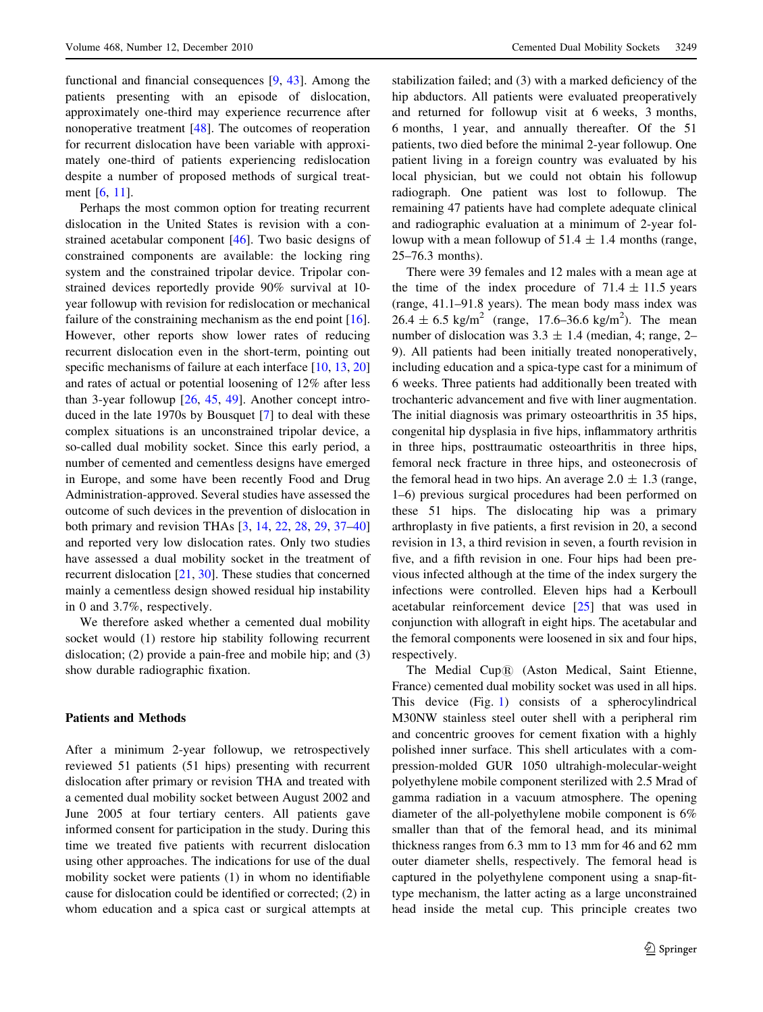functional and financial consequences [\[9](#page-5-0), [43](#page-6-0)]. Among the patients presenting with an episode of dislocation, approximately one-third may experience recurrence after nonoperative treatment [[48\]](#page-6-0). The outcomes of reoperation for recurrent dislocation have been variable with approximately one-third of patients experiencing redislocation despite a number of proposed methods of surgical treatment [[6,](#page-5-0) [11\]](#page-5-0).

Perhaps the most common option for treating recurrent dislocation in the United States is revision with a constrained acetabular component [\[46](#page-6-0)]. Two basic designs of constrained components are available: the locking ring system and the constrained tripolar device. Tripolar constrained devices reportedly provide 90% survival at 10 year followup with revision for redislocation or mechanical failure of the constraining mechanism as the end point [\[16](#page-5-0)]. However, other reports show lower rates of reducing recurrent dislocation even in the short-term, pointing out specific mechanisms of failure at each interface [\[10](#page-5-0), [13,](#page-5-0) [20\]](#page-6-0) and rates of actual or potential loosening of 12% after less than 3-year followup [\[26](#page-6-0), [45](#page-6-0), [49](#page-6-0)]. Another concept introduced in the late 1970s by Bousquet [[7\]](#page-5-0) to deal with these complex situations is an unconstrained tripolar device, a so-called dual mobility socket. Since this early period, a number of cemented and cementless designs have emerged in Europe, and some have been recently Food and Drug Administration-approved. Several studies have assessed the outcome of such devices in the prevention of dislocation in both primary and revision THAs [\[3](#page-5-0), [14](#page-5-0), [22,](#page-6-0) [28](#page-6-0), [29,](#page-6-0) [37–40\]](#page-6-0) and reported very low dislocation rates. Only two studies have assessed a dual mobility socket in the treatment of recurrent dislocation [[21,](#page-6-0) [30\]](#page-6-0). These studies that concerned mainly a cementless design showed residual hip instability in 0 and 3.7%, respectively.

We therefore asked whether a cemented dual mobility socket would (1) restore hip stability following recurrent dislocation; (2) provide a pain-free and mobile hip; and (3) show durable radiographic fixation.

#### Patients and Methods

After a minimum 2-year followup, we retrospectively reviewed 51 patients (51 hips) presenting with recurrent dislocation after primary or revision THA and treated with a cemented dual mobility socket between August 2002 and June 2005 at four tertiary centers. All patients gave informed consent for participation in the study. During this time we treated five patients with recurrent dislocation using other approaches. The indications for use of the dual mobility socket were patients (1) in whom no identifiable cause for dislocation could be identified or corrected; (2) in whom education and a spica cast or surgical attempts at stabilization failed; and (3) with a marked deficiency of the hip abductors. All patients were evaluated preoperatively and returned for followup visit at 6 weeks, 3 months, 6 months, 1 year, and annually thereafter. Of the 51 patients, two died before the minimal 2-year followup. One patient living in a foreign country was evaluated by his local physician, but we could not obtain his followup radiograph. One patient was lost to followup. The remaining 47 patients have had complete adequate clinical and radiographic evaluation at a minimum of 2-year followup with a mean followup of  $51.4 \pm 1.4$  months (range, 25–76.3 months).

There were 39 females and 12 males with a mean age at the time of the index procedure of  $71.4 \pm 11.5$  years (range, 41.1–91.8 years). The mean body mass index was  $26.4 \pm 6.5$  kg/m<sup>2</sup> (range, 17.6–36.6 kg/m<sup>2</sup>). The mean number of dislocation was  $3.3 \pm 1.4$  (median, 4; range, 2– 9). All patients had been initially treated nonoperatively, including education and a spica-type cast for a minimum of 6 weeks. Three patients had additionally been treated with trochanteric advancement and five with liner augmentation. The initial diagnosis was primary osteoarthritis in 35 hips, congenital hip dysplasia in five hips, inflammatory arthritis in three hips, posttraumatic osteoarthritis in three hips, femoral neck fracture in three hips, and osteonecrosis of the femoral head in two hips. An average  $2.0 \pm 1.3$  (range, 1–6) previous surgical procedures had been performed on these 51 hips. The dislocating hip was a primary arthroplasty in five patients, a first revision in 20, a second revision in 13, a third revision in seven, a fourth revision in five, and a fifth revision in one. Four hips had been previous infected although at the time of the index surgery the infections were controlled. Eleven hips had a Kerboull acetabular reinforcement device [[25\]](#page-6-0) that was used in conjunction with allograft in eight hips. The acetabular and the femoral components were loosened in six and four hips, respectively.

The Medial Cup® (Aston Medical, Saint Etienne, France) cemented dual mobility socket was used in all hips. This device (Fig. [1](#page-2-0)) consists of a spherocylindrical M30NW stainless steel outer shell with a peripheral rim and concentric grooves for cement fixation with a highly polished inner surface. This shell articulates with a compression-molded GUR 1050 ultrahigh-molecular-weight polyethylene mobile component sterilized with 2.5 Mrad of gamma radiation in a vacuum atmosphere. The opening diameter of the all-polyethylene mobile component is 6% smaller than that of the femoral head, and its minimal thickness ranges from 6.3 mm to 13 mm for 46 and 62 mm outer diameter shells, respectively. The femoral head is captured in the polyethylene component using a snap-fittype mechanism, the latter acting as a large unconstrained head inside the metal cup. This principle creates two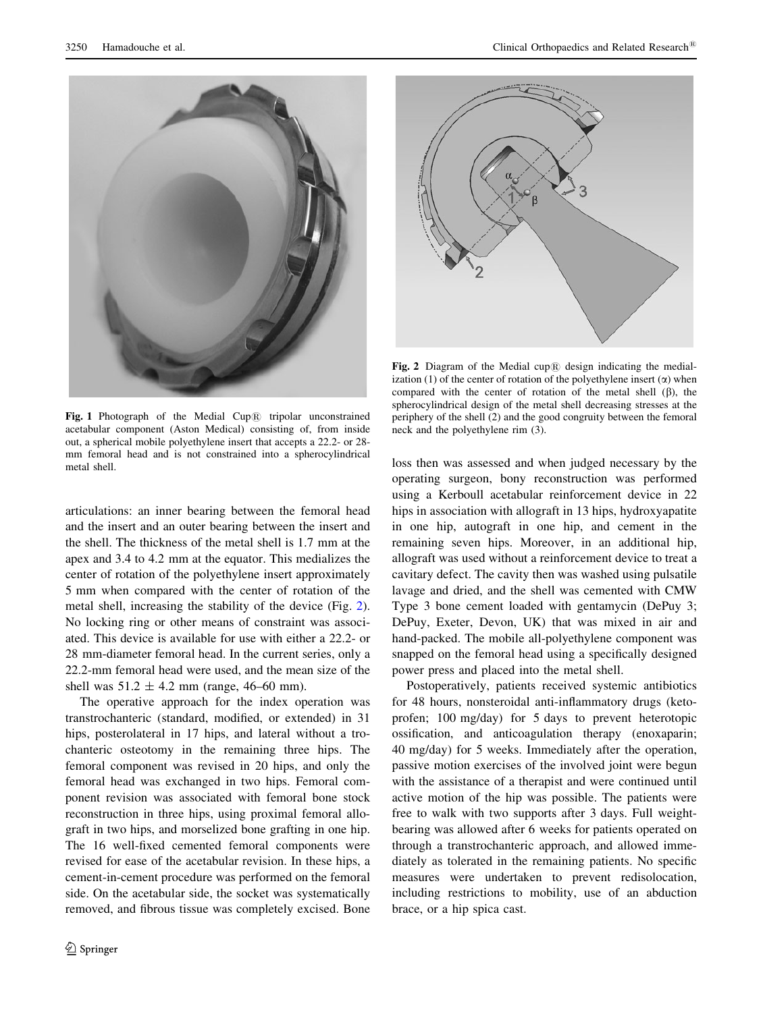<span id="page-2-0"></span>

Fig. 1 Photograph of the Medial Cup $\circledR$  tripolar unconstrained acetabular component (Aston Medical) consisting of, from inside out, a spherical mobile polyethylene insert that accepts a 22.2- or 28 mm femoral head and is not constrained into a spherocylindrical metal shell.

articulations: an inner bearing between the femoral head and the insert and an outer bearing between the insert and the shell. The thickness of the metal shell is 1.7 mm at the apex and 3.4 to 4.2 mm at the equator. This medializes the center of rotation of the polyethylene insert approximately 5 mm when compared with the center of rotation of the metal shell, increasing the stability of the device (Fig. 2). No locking ring or other means of constraint was associated. This device is available for use with either a 22.2- or 28 mm-diameter femoral head. In the current series, only a 22.2-mm femoral head were used, and the mean size of the shell was  $51.2 \pm 4.2$  mm (range, 46–60 mm).

The operative approach for the index operation was transtrochanteric (standard, modified, or extended) in 31 hips, posterolateral in 17 hips, and lateral without a trochanteric osteotomy in the remaining three hips. The femoral component was revised in 20 hips, and only the femoral head was exchanged in two hips. Femoral component revision was associated with femoral bone stock reconstruction in three hips, using proximal femoral allograft in two hips, and morselized bone grafting in one hip. The 16 well-fixed cemented femoral components were revised for ease of the acetabular revision. In these hips, a cement-in-cement procedure was performed on the femoral side. On the acetabular side, the socket was systematically removed, and fibrous tissue was completely excised. Bone



Fig. 2 Diagram of the Medial cup $\overline{R}$  design indicating the medialization (1) of the center of rotation of the polyethylene insert  $(\alpha)$  when compared with the center of rotation of the metal shell  $(\beta)$ , the spherocylindrical design of the metal shell decreasing stresses at the periphery of the shell (2) and the good congruity between the femoral neck and the polyethylene rim (3).

loss then was assessed and when judged necessary by the operating surgeon, bony reconstruction was performed using a Kerboull acetabular reinforcement device in 22 hips in association with allograft in 13 hips, hydroxyapatite in one hip, autograft in one hip, and cement in the remaining seven hips. Moreover, in an additional hip, allograft was used without a reinforcement device to treat a cavitary defect. The cavity then was washed using pulsatile lavage and dried, and the shell was cemented with CMW Type 3 bone cement loaded with gentamycin (DePuy 3; DePuy, Exeter, Devon, UK) that was mixed in air and hand-packed. The mobile all-polyethylene component was snapped on the femoral head using a specifically designed power press and placed into the metal shell.

Postoperatively, patients received systemic antibiotics for 48 hours, nonsteroidal anti-inflammatory drugs (ketoprofen; 100 mg/day) for 5 days to prevent heterotopic ossification, and anticoagulation therapy (enoxaparin; 40 mg/day) for 5 weeks. Immediately after the operation, passive motion exercises of the involved joint were begun with the assistance of a therapist and were continued until active motion of the hip was possible. The patients were free to walk with two supports after 3 days. Full weightbearing was allowed after 6 weeks for patients operated on through a transtrochanteric approach, and allowed immediately as tolerated in the remaining patients. No specific measures were undertaken to prevent redisolocation, including restrictions to mobility, use of an abduction brace, or a hip spica cast.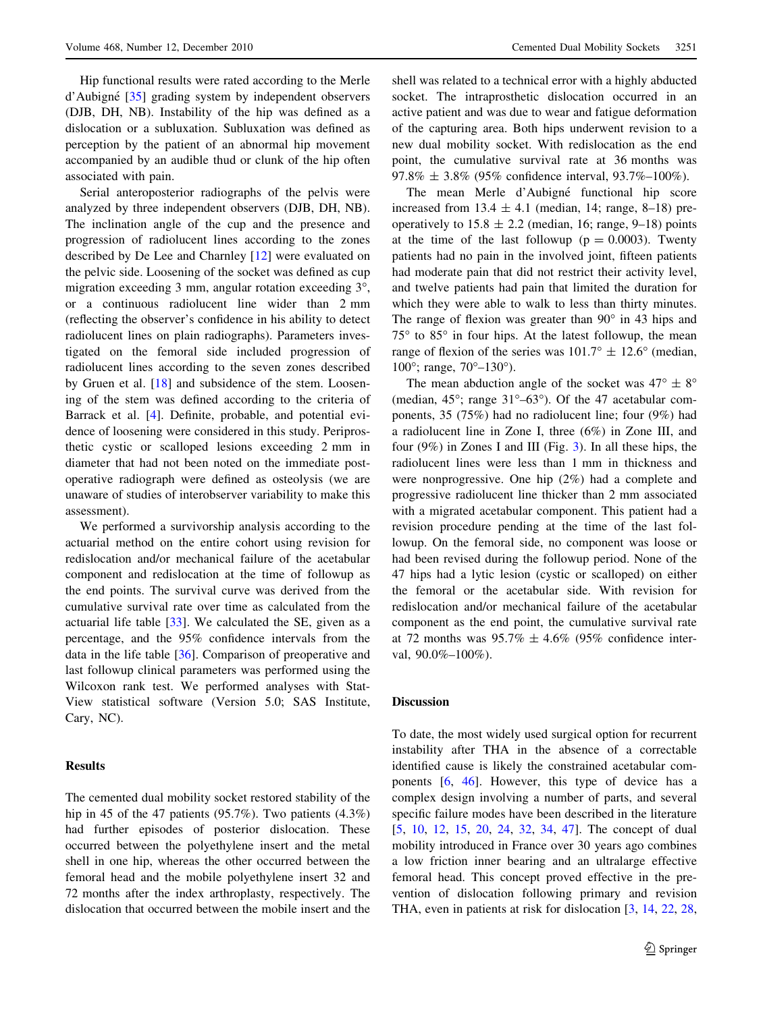Hip functional results were rated according to the Merle d'Aubigné [[35\]](#page-6-0) grading system by independent observers (DJB, DH, NB). Instability of the hip was defined as a dislocation or a subluxation. Subluxation was defined as perception by the patient of an abnormal hip movement accompanied by an audible thud or clunk of the hip often associated with pain.

Serial anteroposterior radiographs of the pelvis were analyzed by three independent observers (DJB, DH, NB). The inclination angle of the cup and the presence and progression of radiolucent lines according to the zones described by De Lee and Charnley [[12\]](#page-5-0) were evaluated on the pelvic side. Loosening of the socket was defined as cup migration exceeding  $3 \text{ mm}$ , angular rotation exceeding  $3^\circ$ , or a continuous radiolucent line wider than 2 mm (reflecting the observer's confidence in his ability to detect radiolucent lines on plain radiographs). Parameters investigated on the femoral side included progression of radiolucent lines according to the seven zones described by Gruen et al. [[18\]](#page-6-0) and subsidence of the stem. Loosening of the stem was defined according to the criteria of Barrack et al. [\[4](#page-5-0)]. Definite, probable, and potential evidence of loosening were considered in this study. Periprosthetic cystic or scalloped lesions exceeding 2 mm in diameter that had not been noted on the immediate postoperative radiograph were defined as osteolysis (we are unaware of studies of interobserver variability to make this assessment).

We performed a survivorship analysis according to the actuarial method on the entire cohort using revision for redislocation and/or mechanical failure of the acetabular component and redislocation at the time of followup as the end points. The survival curve was derived from the cumulative survival rate over time as calculated from the actuarial life table [\[33](#page-6-0)]. We calculated the SE, given as a percentage, and the 95% confidence intervals from the data in the life table [\[36](#page-6-0)]. Comparison of preoperative and last followup clinical parameters was performed using the Wilcoxon rank test. We performed analyses with Stat-View statistical software (Version 5.0; SAS Institute, Cary, NC).

#### **Results**

The cemented dual mobility socket restored stability of the hip in 45 of the 47 patients (95.7%). Two patients (4.3%) had further episodes of posterior dislocation. These occurred between the polyethylene insert and the metal shell in one hip, whereas the other occurred between the femoral head and the mobile polyethylene insert 32 and 72 months after the index arthroplasty, respectively. The dislocation that occurred between the mobile insert and the shell was related to a technical error with a highly abducted socket. The intraprosthetic dislocation occurred in an active patient and was due to wear and fatigue deformation of the capturing area. Both hips underwent revision to a new dual mobility socket. With redislocation as the end point, the cumulative survival rate at 36 months was  $97.8\% \pm 3.8\%$  (95% confidence interval, 93.7%–100%).

The mean Merle d'Aubigné functional hip score increased from  $13.4 \pm 4.1$  (median, 14; range, 8–18) preoperatively to  $15.8 \pm 2.2$  (median, 16; range, 9–18) points at the time of the last followup ( $p = 0.0003$ ). Twenty patients had no pain in the involved joint, fifteen patients had moderate pain that did not restrict their activity level, and twelve patients had pain that limited the duration for which they were able to walk to less than thirty minutes. The range of flexion was greater than  $90^\circ$  in 43 hips and  $75^{\circ}$  to  $85^{\circ}$  in four hips. At the latest followup, the mean range of flexion of the series was  $101.7^{\circ} \pm 12.6^{\circ}$  (median, 100 $^{\circ}$ ; range, 70 $^{\circ}$ -130 $^{\circ}$ ).

The mean abduction angle of the socket was  $47^{\circ} \pm 8^{\circ}$ (median,  $45^{\circ}$ ; range  $31^{\circ} - 63^{\circ}$ ). Of the 47 acetabular components, 35 (75%) had no radiolucent line; four (9%) had a radiolucent line in Zone I, three (6%) in Zone III, and four (9%) in Zones I and III (Fig. [3](#page-4-0)). In all these hips, the radiolucent lines were less than 1 mm in thickness and were nonprogressive. One hip (2%) had a complete and progressive radiolucent line thicker than 2 mm associated with a migrated acetabular component. This patient had a revision procedure pending at the time of the last followup. On the femoral side, no component was loose or had been revised during the followup period. None of the 47 hips had a lytic lesion (cystic or scalloped) on either the femoral or the acetabular side. With revision for redislocation and/or mechanical failure of the acetabular component as the end point, the cumulative survival rate at 72 months was  $95.7\% \pm 4.6\%$  (95% confidence interval, 90.0%–100%).

#### Discussion

To date, the most widely used surgical option for recurrent instability after THA in the absence of a correctable identified cause is likely the constrained acetabular components [[6,](#page-5-0) [46\]](#page-6-0). However, this type of device has a complex design involving a number of parts, and several specific failure modes have been described in the literature [\[5](#page-5-0), [10](#page-5-0), [12](#page-5-0), [15,](#page-5-0) [20,](#page-6-0) [24](#page-6-0), [32](#page-6-0), [34,](#page-6-0) [47\]](#page-6-0). The concept of dual mobility introduced in France over 30 years ago combines a low friction inner bearing and an ultralarge effective femoral head. This concept proved effective in the prevention of dislocation following primary and revision THA, even in patients at risk for dislocation [[3,](#page-5-0) [14](#page-5-0), [22](#page-6-0), [28,](#page-6-0)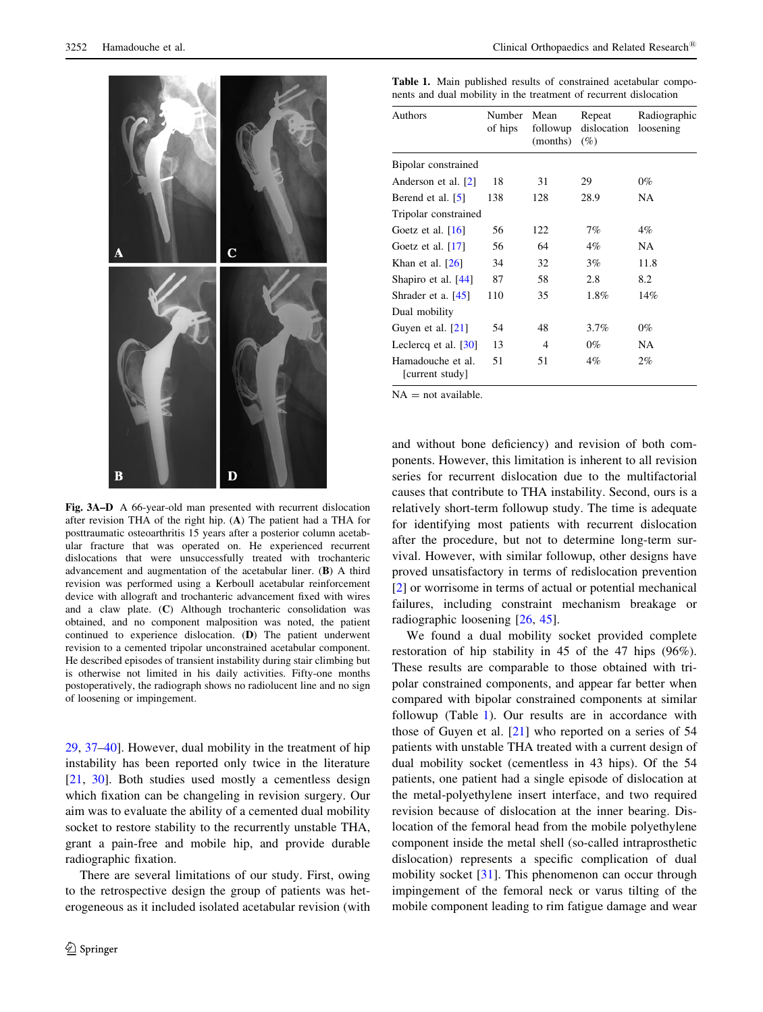<span id="page-4-0"></span>

Fig. 3A–D A 66-year-old man presented with recurrent dislocation after revision THA of the right hip. (A) The patient had a THA for posttraumatic osteoarthritis 15 years after a posterior column acetabular fracture that was operated on. He experienced recurrent dislocations that were unsuccessfully treated with trochanteric advancement and augmentation of the acetabular liner. (B) A third revision was performed using a Kerboull acetabular reinforcement device with allograft and trochanteric advancement fixed with wires and a claw plate. (C) Although trochanteric consolidation was obtained, and no component malposition was noted, the patient continued to experience dislocation. (D) The patient underwent revision to a cemented tripolar unconstrained acetabular component. He described episodes of transient instability during stair climbing but is otherwise not limited in his daily activities. Fifty-one months postoperatively, the radiograph shows no radiolucent line and no sign of loosening or impingement.

[29](#page-6-0), [37–40](#page-6-0)]. However, dual mobility in the treatment of hip instability has been reported only twice in the literature [\[21](#page-6-0), [30\]](#page-6-0). Both studies used mostly a cementless design which fixation can be changeling in revision surgery. Our aim was to evaluate the ability of a cemented dual mobility socket to restore stability to the recurrently unstable THA, grant a pain-free and mobile hip, and provide durable radiographic fixation.

There are several limitations of our study. First, owing to the retrospective design the group of patients was heterogeneous as it included isolated acetabular revision (with

Table 1. Main published results of constrained acetabular components and dual mobility in the treatment of recurrent dislocation

| Authors                              | Number<br>of hips | Mean<br>followup<br>(months) | Repeat<br>dislocation<br>$(\%)$ | Radiographic<br>loosening |
|--------------------------------------|-------------------|------------------------------|---------------------------------|---------------------------|
| Bipolar constrained                  |                   |                              |                                 |                           |
| Anderson et al. [2]                  | 18                | 31                           | 29                              | $0\%$                     |
| Berend et al. [5]                    | 138               | 128                          | 28.9                            | NA                        |
| Tripolar constrained                 |                   |                              |                                 |                           |
| Goetz et al. $[16]$                  | 56                | 122                          | 7%                              | 4%                        |
| Goetz et al. $[17]$                  | 56                | 64                           | 4%                              | NA.                       |
| Khan et al. $[26]$                   | 34                | 32                           | 3%                              | 11.8                      |
| Shapiro et al. $[44]$                | 87                | 58                           | 2.8                             | 8.2                       |
| Shrader et a. $[45]$                 | 110               | 35                           | $1.8\%$                         | 14%                       |
| Dual mobility                        |                   |                              |                                 |                           |
| Guyen et al. [21]                    | 54                | 48                           | 3.7%                            | 0%                        |
| Leclercq et al. $[30]$               | 13                | 4                            | $0\%$                           | NA                        |
| Hamadouche et al.<br>[current study] | 51                | 51                           | 4%                              | 2%                        |

 $NA = not available$ .

and without bone deficiency) and revision of both components. However, this limitation is inherent to all revision series for recurrent dislocation due to the multifactorial causes that contribute to THA instability. Second, ours is a relatively short-term followup study. The time is adequate for identifying most patients with recurrent dislocation after the procedure, but not to determine long-term survival. However, with similar followup, other designs have proved unsatisfactory in terms of redislocation prevention [\[2](#page-5-0)] or worrisome in terms of actual or potential mechanical failures, including constraint mechanism breakage or radiographic loosening [[26,](#page-6-0) [45](#page-6-0)].

We found a dual mobility socket provided complete restoration of hip stability in 45 of the 47 hips (96%). These results are comparable to those obtained with tripolar constrained components, and appear far better when compared with bipolar constrained components at similar followup (Table 1). Our results are in accordance with those of Guyen et al. [\[21](#page-6-0)] who reported on a series of 54 patients with unstable THA treated with a current design of dual mobility socket (cementless in 43 hips). Of the 54 patients, one patient had a single episode of dislocation at the metal-polyethylene insert interface, and two required revision because of dislocation at the inner bearing. Dislocation of the femoral head from the mobile polyethylene component inside the metal shell (so-called intraprosthetic dislocation) represents a specific complication of dual mobility socket [[31\]](#page-6-0). This phenomenon can occur through impingement of the femoral neck or varus tilting of the mobile component leading to rim fatigue damage and wear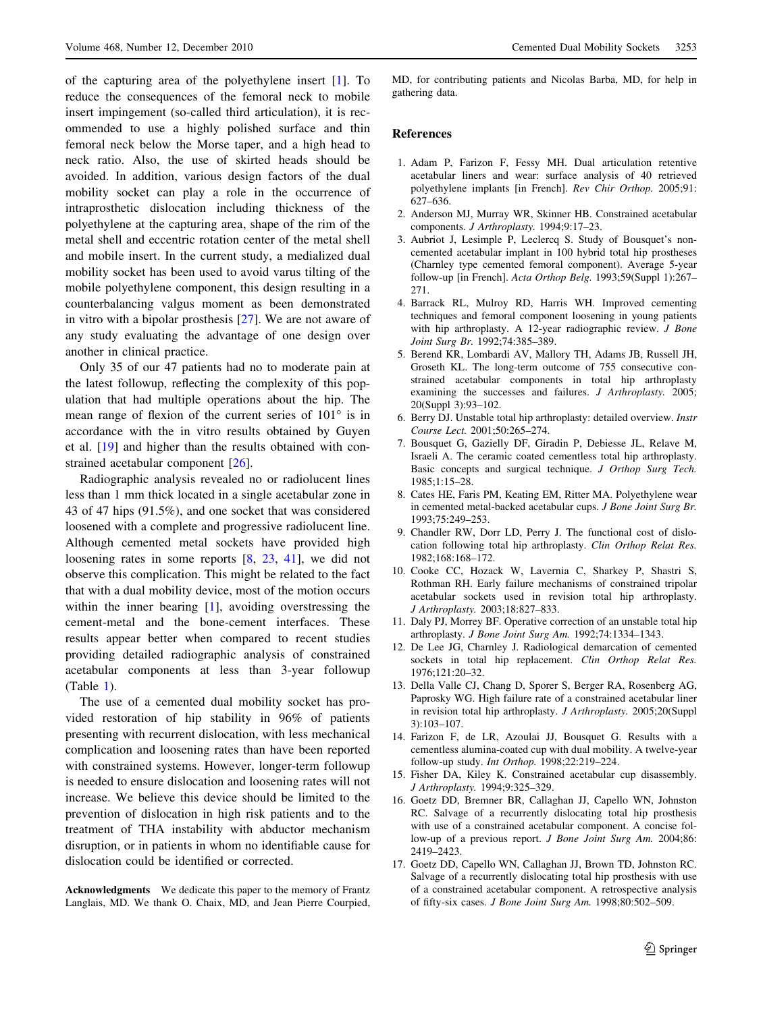<span id="page-5-0"></span>of the capturing area of the polyethylene insert [1]. To reduce the consequences of the femoral neck to mobile insert impingement (so-called third articulation), it is recommended to use a highly polished surface and thin femoral neck below the Morse taper, and a high head to neck ratio. Also, the use of skirted heads should be avoided. In addition, various design factors of the dual mobility socket can play a role in the occurrence of intraprosthetic dislocation including thickness of the polyethylene at the capturing area, shape of the rim of the metal shell and eccentric rotation center of the metal shell and mobile insert. In the current study, a medialized dual mobility socket has been used to avoid varus tilting of the mobile polyethylene component, this design resulting in a counterbalancing valgus moment as been demonstrated in vitro with a bipolar prosthesis [\[27](#page-6-0)]. We are not aware of any study evaluating the advantage of one design over another in clinical practice.

Only 35 of our 47 patients had no to moderate pain at the latest followup, reflecting the complexity of this population that had multiple operations about the hip. The mean range of flexion of the current series of  $101^\circ$  is in accordance with the in vitro results obtained by Guyen et al. [\[19](#page-6-0)] and higher than the results obtained with constrained acetabular component [[26\]](#page-6-0).

Radiographic analysis revealed no or radiolucent lines less than 1 mm thick located in a single acetabular zone in 43 of 47 hips (91.5%), and one socket that was considered loosened with a complete and progressive radiolucent line. Although cemented metal sockets have provided high loosening rates in some reports [8, [23,](#page-6-0) [41\]](#page-6-0), we did not observe this complication. This might be related to the fact that with a dual mobility device, most of the motion occurs within the inner bearing [1], avoiding overstressing the cement-metal and the bone-cement interfaces. These results appear better when compared to recent studies providing detailed radiographic analysis of constrained acetabular components at less than 3-year followup (Table [1\)](#page-4-0).

The use of a cemented dual mobility socket has provided restoration of hip stability in 96% of patients presenting with recurrent dislocation, with less mechanical complication and loosening rates than have been reported with constrained systems. However, longer-term followup is needed to ensure dislocation and loosening rates will not increase. We believe this device should be limited to the prevention of dislocation in high risk patients and to the treatment of THA instability with abductor mechanism disruption, or in patients in whom no identifiable cause for dislocation could be identified or corrected.

Acknowledgments We dedicate this paper to the memory of Frantz Langlais, MD. We thank O. Chaix, MD, and Jean Pierre Courpied, MD, for contributing patients and Nicolas Barba, MD, for help in gathering data.

#### References

- 1. Adam P, Farizon F, Fessy MH. Dual articulation retentive acetabular liners and wear: surface analysis of 40 retrieved polyethylene implants [in French]. Rev Chir Orthop. 2005;91: 627–636.
- 2. Anderson MJ, Murray WR, Skinner HB. Constrained acetabular components. J Arthroplasty. 1994;9:17–23.
- 3. Aubriot J, Lesimple P, Leclercq S. Study of Bousquet's noncemented acetabular implant in 100 hybrid total hip prostheses (Charnley type cemented femoral component). Average 5-year follow-up [in French]. Acta Orthop Belg. 1993;59(Suppl 1):267– 271.
- 4. Barrack RL, Mulroy RD, Harris WH. Improved cementing techniques and femoral component loosening in young patients with hip arthroplasty. A 12-year radiographic review. J Bone Joint Surg Br. 1992;74:385–389.
- 5. Berend KR, Lombardi AV, Mallory TH, Adams JB, Russell JH, Groseth KL. The long-term outcome of 755 consecutive constrained acetabular components in total hip arthroplasty examining the successes and failures. J Arthroplasty. 2005; 20(Suppl 3):93–102.
- 6. Berry DJ. Unstable total hip arthroplasty: detailed overview. Instr Course Lect. 2001;50:265–274.
- 7. Bousquet G, Gazielly DF, Giradin P, Debiesse JL, Relave M, Israeli A. The ceramic coated cementless total hip arthroplasty. Basic concepts and surgical technique. J Orthop Surg Tech. 1985;1:15–28.
- 8. Cates HE, Faris PM, Keating EM, Ritter MA. Polyethylene wear in cemented metal-backed acetabular cups. J Bone Joint Surg Br. 1993;75:249–253.
- 9. Chandler RW, Dorr LD, Perry J. The functional cost of dislocation following total hip arthroplasty. Clin Orthop Relat Res. 1982;168:168–172.
- 10. Cooke CC, Hozack W, Lavernia C, Sharkey P, Shastri S, Rothman RH. Early failure mechanisms of constrained tripolar acetabular sockets used in revision total hip arthroplasty. J Arthroplasty. 2003;18:827–833.
- 11. Daly PJ, Morrey BF. Operative correction of an unstable total hip arthroplasty. J Bone Joint Surg Am. 1992;74:1334–1343.
- 12. De Lee JG, Charnley J. Radiological demarcation of cemented sockets in total hip replacement. Clin Orthop Relat Res. 1976;121:20–32.
- 13. Della Valle CJ, Chang D, Sporer S, Berger RA, Rosenberg AG, Paprosky WG. High failure rate of a constrained acetabular liner in revision total hip arthroplasty. J Arthroplasty. 2005;20(Suppl 3):103–107.
- 14. Farizon F, de LR, Azoulai JJ, Bousquet G. Results with a cementless alumina-coated cup with dual mobility. A twelve-year follow-up study. Int Orthop. 1998;22:219–224.
- 15. Fisher DA, Kiley K. Constrained acetabular cup disassembly. J Arthroplasty. 1994;9:325–329.
- 16. Goetz DD, Bremner BR, Callaghan JJ, Capello WN, Johnston RC. Salvage of a recurrently dislocating total hip prosthesis with use of a constrained acetabular component. A concise follow-up of a previous report. J Bone Joint Surg Am. 2004;86: 2419–2423.
- 17. Goetz DD, Capello WN, Callaghan JJ, Brown TD, Johnston RC. Salvage of a recurrently dislocating total hip prosthesis with use of a constrained acetabular component. A retrospective analysis of fifty-six cases. J Bone Joint Surg Am. 1998;80:502–509.